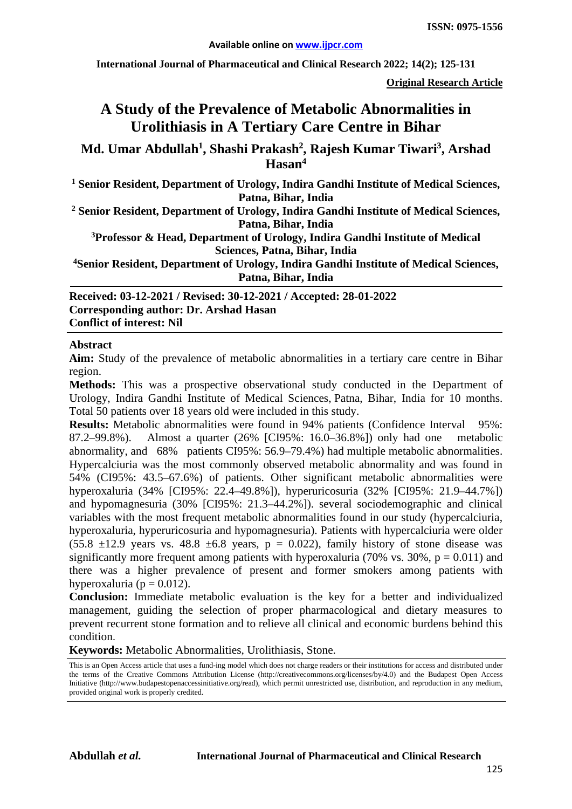**International Journal of Pharmaceutical and Clinical Research 2022; 14(2); 125-131**

**Original Research Article**

# **A Study of the Prevalence of Metabolic Abnormalities in Urolithiasis in A Tertiary Care Centre in Bihar**

**Md. Umar Abdullah1 , Shashi Prakash2 , Rajesh Kumar Tiwari3 , Arshad Hasan4**

**<sup>1</sup> Senior Resident, Department of Urology, Indira Gandhi Institute of Medical Sciences, Patna, Bihar, India**

**<sup>2</sup> Senior Resident, Department of Urology, Indira Gandhi Institute of Medical Sciences, Patna, Bihar, India**

**3Professor & Head, Department of Urology, Indira Gandhi Institute of Medical Sciences, Patna, Bihar, India**

**4Senior Resident, Department of Urology, Indira Gandhi Institute of Medical Sciences, Patna, Bihar, India**

**Received: 03-12-2021 / Revised: 30-12-2021 / Accepted: 28-01-2022 Corresponding author: Dr. Arshad Hasan Conflict of interest: Nil**

#### **Abstract**

**Aim:** Study of the prevalence of metabolic abnormalities in a tertiary care centre in Bihar region.

**Methods:** This was a prospective observational study conducted in the Department of Urology, Indira Gandhi Institute of Medical Sciences, Patna, Bihar, India for 10 months. Total 50 patients over 18 years old were included in this study.

**Results:** Metabolic abnormalities were found in 94% patients (Confidence Interval 95%: 87.2–99.8%). Almost a quarter (26% [CI95%: 16.0–36.8%]) only had one metabolic abnormality, and 68% patients CI95%: 56.9–79.4%) had multiple metabolic abnormalities. Hypercalciuria was the most commonly observed metabolic abnormality and was found in 54% (CI95%: 43.5–67.6%) of patients. Other significant metabolic abnormalities were hyperoxaluria (34% [CI95%: 22.4–49.8%]), hyperuricosuria (32% [CI95%: 21.9–44.7%]) and hypomagnesuria (30% [CI95%: 21.3–44.2%]). several sociodemographic and clinical variables with the most frequent metabolic abnormalities found in our study (hypercalciuria, hyperoxaluria, hyperuricosuria and hypomagnesuria). Patients with hypercalciuria were older  $(55.8 \pm 12.9 \text{ years} \text{ vs. } 48.8 \pm 6.8 \text{ years}, p = 0.022)$ , family history of stone disease was significantly more frequent among patients with hyperoxaluria (70% vs. 30%,  $p = 0.011$ ) and there was a higher prevalence of present and former smokers among patients with hyperoxaluria ( $p = 0.012$ ).

**Conclusion:** Immediate metabolic evaluation is the key for a better and individualized management, guiding the selection of proper pharmacological and dietary measures to prevent recurrent stone formation and to relieve all clinical and economic burdens behind this condition.

**Keywords:** Metabolic Abnormalities, Urolithiasis, Stone.

This is an Open Access article that uses a fund-ing model which does not charge readers or their institutions for access and distributed under the terms of the Creative Commons Attribution License (http://creativecommons.org/licenses/by/4.0) and the Budapest Open Access Initiative (http://www.budapestopenaccessinitiative.org/read), which permit unrestricted use, distribution, and reproduction in any medium, provided original work is properly credited.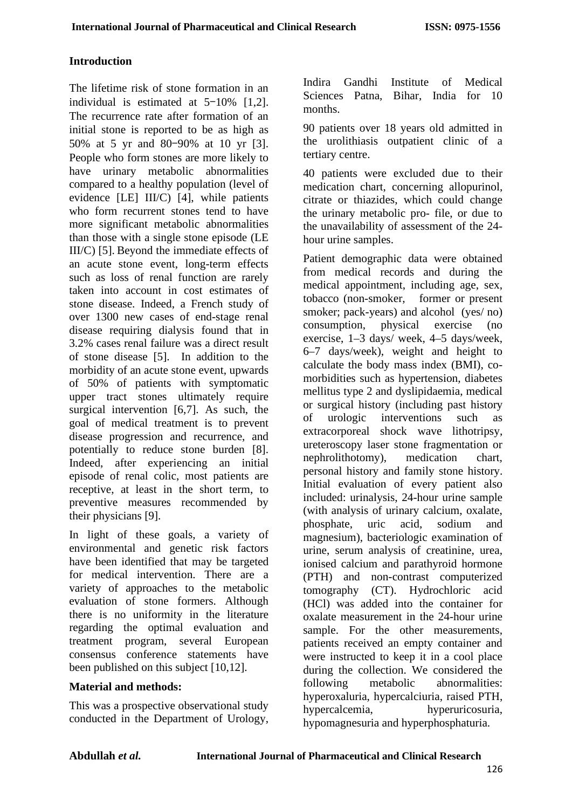# **Introduction**

The lifetime risk of stone formation in an individual is estimated at 5–10% [1,2]. The recurrence rate after formation of an initial stone is reported to be as high as 50% at 5 yr and 80–90% at 10 yr [3]. People who form stones are more likely to have urinary metabolic abnormalities compared to a healthy population (level of evidence [LE] III/C) [4], while patients who form recurrent stones tend to have more significant metabolic abnormalities than those with a single stone episode (LE III/C) [5]. Beyond the immediate effects of an acute stone event, long-term effects such as loss of renal function are rarely taken into account in cost estimates of stone disease. Indeed, a French study of over 1300 new cases of end-stage renal disease requiring dialysis found that in 3.2% cases renal failure was a direct result of stone disease [5]. In addition to the morbidity of an acute stone event, upwards of 50% of patients with symptomatic upper tract stones ultimately require surgical intervention [6,7]. As such, the goal of medical treatment is to prevent disease progression and recurrence, and potentially to reduce stone burden [8]. Indeed, after experiencing an initial episode of renal colic, most patients are receptive, at least in the short term, to preventive measures recommended by their physicians [9].

In light of these goals, a variety of environmental and genetic risk factors have been identified that may be targeted for medical intervention. There are a variety of approaches to the metabolic evaluation of stone formers. Although there is no uniformity in the literature regarding the optimal evaluation and treatment program, several European consensus conference statements have been published on this subject [10,12].

## **Material and methods:**

This was a prospective observational study conducted in the Department of Urology, Indira Gandhi Institute of Medical Sciences Patna, Bihar, India for 10 months.

90 patients over 18 years old admitted in the urolithiasis outpatient clinic of a tertiary centre.

40 patients were excluded due to their medication chart, concerning allopurinol, citrate or thiazides, which could change the urinary metabolic pro- file, or due to the unavailability of assessment of the 24 hour urine samples.

Patient demographic data were obtained from medical records and during the medical appointment, including age, sex, tobacco (non-smoker, former or present smoker; pack-years) and alcohol (yes/ no) consumption, physical exercise (no exercise, 1–3 days/ week, 4–5 days/week, 6–7 days/week), weight and height to calculate the body mass index (BMI), comorbidities such as hypertension, diabetes mellitus type 2 and dyslipidaemia, medical or surgical history (including past history of urologic interventions such as extracorporeal shock wave lithotripsy, ureteroscopy laser stone fragmentation or nephrolithotomy), medication chart, personal history and family stone history. Initial evaluation of every patient also included: urinalysis, 24-hour urine sample (with analysis of urinary calcium, oxalate, phosphate, uric acid, sodium and magnesium), bacteriologic examination of urine, serum analysis of creatinine, urea, ionised calcium and parathyroid hormone (PTH) and non-contrast computerized tomography (CT). Hydrochloric acid (HCl) was added into the container for oxalate measurement in the 24-hour urine sample. For the other measurements, patients received an empty container and were instructed to keep it in a cool place during the collection. We considered the following metabolic abnormalities: hyperoxaluria, hypercalciuria, raised PTH, hypercalcemia, hyperuricosuria, hypomagnesuria and hyperphosphaturia.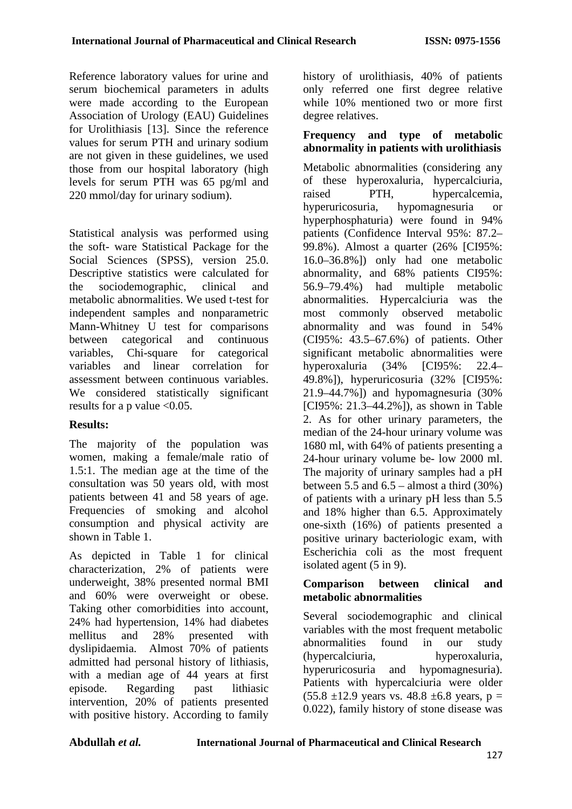Reference laboratory values for urine and serum biochemical parameters in adults were made according to the European Association of Urology (EAU) Guidelines for Urolithiasis [13]. Since the reference values for serum PTH and urinary sodium are not given in these guidelines, we used those from our hospital laboratory (high levels for serum PTH was 65 pg/ml and 220 mmol/day for urinary sodium).

Statistical analysis was performed using the soft- ware Statistical Package for the Social Sciences (SPSS), version 25.0. Descriptive statistics were calculated for the sociodemographic, clinical and metabolic abnormalities. We used t-test for independent samples and nonparametric Mann-Whitney U test for comparisons between categorical and continuous variables, Chi-square for categorical variables and linear correlation for assessment between continuous variables. We considered statistically significant results for a p value <0.05.

# **Results:**

The majority of the population was women, making a female/male ratio of 1.5:1. The median age at the time of the consultation was 50 years old, with most patients between 41 and 58 years of age. Frequencies of smoking and alcohol consumption and physical activity are shown in Table 1.

As depicted in Table 1 for clinical characterization, 2% of patients were underweight, 38% presented normal BMI and 60% were overweight or obese. Taking other comorbidities into account, 24% had hypertension, 14% had diabetes mellitus and 28% presented with dyslipidaemia. Almost 70% of patients admitted had personal history of lithiasis, with a median age of 44 years at first episode. Regarding past lithiasic intervention, 20% of patients presented with positive history. According to family history of urolithiasis, 40% of patients only referred one first degree relative while 10% mentioned two or more first degree relatives.

#### **Frequency and type of metabolic abnormality in patients with urolithiasis**

Metabolic abnormalities (considering any of these hyperoxaluria, hypercalciuria, raised PTH, hypercalcemia, hyperuricosuria, hypomagnesuria or hyperphosphaturia) were found in 94% patients (Confidence Interval 95%: 87.2– 99.8%). Almost a quarter (26% [CI95%: 16.0–36.8%]) only had one metabolic abnormality, and 68% patients CI95%: 56.9–79.4%) had multiple metabolic abnormalities. Hypercalciuria was the most commonly observed metabolic abnormality and was found in 54% (CI95%: 43.5–67.6%) of patients. Other significant metabolic abnormalities were hyperoxaluria (34% [CI95%: 22.4– 49.8%]), hyperuricosuria (32% [CI95%: 21.9–44.7%]) and hypomagnesuria (30% [CI95%: 21.3–44.2%]), as shown in Table 2. As for other urinary parameters, the median of the 24-hour urinary volume was 1680 ml, with 64% of patients presenting a 24-hour urinary volume be- low 2000 ml. The majority of urinary samples had a pH between 5.5 and  $6.5$  – almost a third  $(30\%)$ of patients with a urinary pH less than 5.5 and 18% higher than 6.5. Approximately one-sixth (16%) of patients presented a positive urinary bacteriologic exam, with Escherichia coli as the most frequent isolated agent (5 in 9).

### **Comparison between clinical and metabolic abnormalities**

Several sociodemographic and clinical variables with the most frequent metabolic abnormalities found in our study (hypercalciuria, hyperoxaluria, hyperuricosuria and hypomagnesuria). Patients with hypercalciuria were older  $(55.8 \pm 12.9 \text{ years} \text{ vs. } 48.8 \pm 6.8 \text{ years}, p =$ 0.022), family history of stone disease was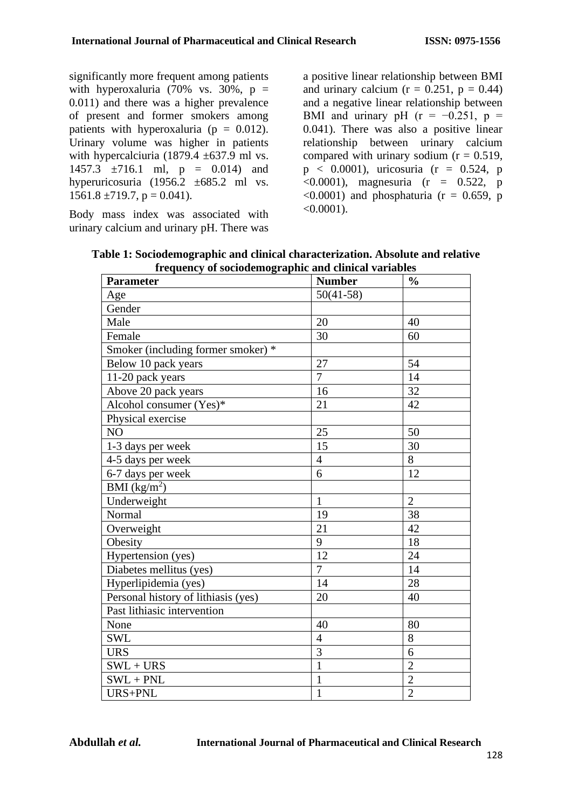significantly more frequent among patients with hyperoxaluria (70% vs. 30%,  $p =$ 0.011) and there was a higher prevalence of present and former smokers among patients with hyperoxaluria ( $p = 0.012$ ). Urinary volume was higher in patients with hypercalciuria  $(1879.4 \pm 637.9 \text{ ml vs.})$ 1457.3  $\pm$ 716.1 ml, p = 0.014) and hyperuricosuria (1956.2 ±685.2 ml vs.  $1561.8 \pm 719.7$ , p = 0.041).

Body mass index was associated with urinary calcium and urinary pH. There was

a positive linear relationship between BMI and urinary calcium  $(r = 0.251, p = 0.44)$ and a negative linear relationship between BMI and urinary pH ( $r = -0.251$ ,  $p =$ 0.041). There was also a positive linear relationship between urinary calcium compared with urinary sodium  $(r = 0.519)$ .  $p < 0.0001$ ), uricosuria (r = 0.524, p  $(0.0001)$ , magnesuria (r = 0.522, p  $\langle 0.0001 \rangle$  and phosphaturia (r = 0.659, p  $< 0.0001$ ).

| nequency of sociousning applies and emiliear variable<br><b>Parameter</b> | <b>Number</b>  | $\frac{6}{6}$  |
|---------------------------------------------------------------------------|----------------|----------------|
| Age                                                                       | $50(41-58)$    |                |
| Gender                                                                    |                |                |
| Male                                                                      | 20             | 40             |
| Female                                                                    | 30             | 60             |
| Smoker (including former smoker) *                                        |                |                |
| Below 10 pack years                                                       | 27             | 54             |
| 11-20 pack years                                                          | $\overline{7}$ | 14             |
| Above 20 pack years                                                       | 16             | 32             |
| Alcohol consumer (Yes)*                                                   | 21             | 42             |
| Physical exercise                                                         |                |                |
| NO                                                                        | 25             | 50             |
| 1-3 days per week                                                         | 15             | 30             |
| 4-5 days per week                                                         | $\overline{4}$ | 8              |
| 6-7 days per week                                                         | 6              | 12             |
| BMI $(kg/m^2)$                                                            |                |                |
| Underweight                                                               | $\mathbf{1}$   | $\overline{2}$ |
| Normal                                                                    | 19             | 38             |
| Overweight                                                                | 21             | 42             |
| Obesity                                                                   | 9              | 18             |
| Hypertension (yes)                                                        | 12             | 24             |
| Diabetes mellitus (yes)                                                   | $\overline{7}$ | 14             |
| Hyperlipidemia (yes)                                                      | 14             | 28             |
| Personal history of lithiasis (yes)                                       | 20             | 40             |
| Past lithiasic intervention                                               |                |                |
| None                                                                      | 40             | 80             |
| <b>SWL</b>                                                                | $\overline{4}$ | 8              |
| <b>URS</b>                                                                | $\overline{3}$ | 6              |
| $SWL + URS$                                                               | $\mathbf{1}$   | $\overline{2}$ |
| $SWL + PNL$                                                               | $\mathbf{1}$   | $\overline{2}$ |
| URS+PNL                                                                   | $\mathbf{1}$   | $\overline{2}$ |

**Table 1: Sociodemographic and clinical characterization. Absolute and relative frequency of sociodemographic and clinical variables**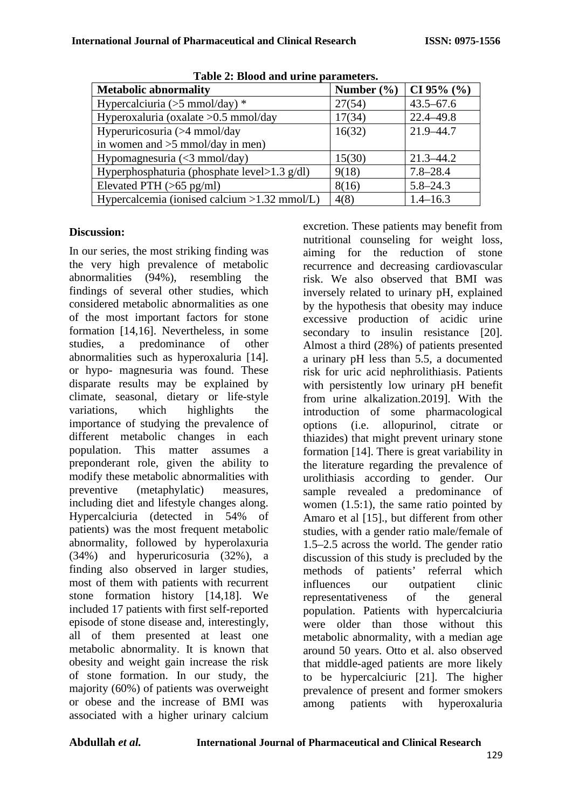| Table 2: Divou and arme parameters.             |                |               |  |
|-------------------------------------------------|----------------|---------------|--|
| <b>Metabolic abnormality</b>                    | Number $(\% )$ | CI 95% $(\%$  |  |
| Hypercalciuria ( $>5$ mmol/day) *               | 27(54)         | $43.5 - 67.6$ |  |
| Hyperoxaluria (oxalate > 0.5 mmol/day           | 17(34)         | $22.4 - 49.8$ |  |
| Hyperuricosuria (>4 mmol/day                    | 16(32)         | 21.9-44.7     |  |
| in women and $>5$ mmol/day in men)              |                |               |  |
| Hypomagnesuria (<3 mmol/day)                    | 15(30)         | $21.3 - 44.2$ |  |
| Hyperphosphaturia (phosphate level> $1.3$ g/dl) | 9(18)          | $7.8 - 28.4$  |  |
| Elevated PTH $(>65 \text{ pg/ml})$              | 8(16)          | $5.8 - 24.3$  |  |
| Hypercalcemia (ionised calcium $>1.32$ mmol/L)  | 4(8)           | $1.4 - 16.3$  |  |

**Table 2: Blood and urine parameters.**

## **Discussion:**

In our series, the most striking finding was the very high prevalence of metabolic abnormalities (94%), resembling the findings of several other studies, which considered metabolic abnormalities as one of the most important factors for stone formation [14,16]. Nevertheless, in some studies, a predominance of other abnormalities such as hyperoxaluria [14]. or hypo- magnesuria was found. These disparate results may be explained by climate, seasonal, dietary or life-style variations, which highlights the importance of studying the prevalence of different metabolic changes in each population. This matter assumes a preponderant role, given the ability to modify these metabolic abnormalities with preventive (metaphylatic) measures, including diet and lifestyle changes along. Hypercalciuria (detected in 54% of patients) was the most frequent metabolic abnormality, followed by hyperolaxuria (34%) and hyperuricosuria (32%), a finding also observed in larger studies, most of them with patients with recurrent stone formation history [14,18]. We included 17 patients with first self-reported episode of stone disease and, interestingly, all of them presented at least one metabolic abnormality. It is known that obesity and weight gain increase the risk of stone formation. In our study, the majority (60%) of patients was overweight or obese and the increase of BMI was associated with a higher urinary calcium

excretion. These patients may benefit from nutritional counseling for weight loss, aiming for the reduction of stone recurrence and decreasing cardiovascular risk. We also observed that BMI was inversely related to urinary pH, explained by the hypothesis that obesity may induce excessive production of acidic urine secondary to insulin resistance [20]. Almost a third (28%) of patients presented a urinary pH less than 5.5, a documented risk for uric acid nephrolithiasis. Patients with persistently low urinary pH benefit from urine alkalization.2019]. With the introduction of some pharmacological options (i.e. allopurinol, citrate or thiazides) that might prevent urinary stone formation [14]. There is great variability in the literature regarding the prevalence of urolithiasis according to gender. Our sample revealed a predominance of women (1.5:1), the same ratio pointed by Amaro et al [15]., but different from other studies, with a gender ratio male/female of 1.5–2.5 across the world. The gender ratio discussion of this study is precluded by the methods of patients' referral which<br>influences our outpatient clinic our outpatient clinic representativeness of the general population. Patients with hypercalciuria were older than those without this metabolic abnormality, with a median age around 50 years. Otto et al. also observed that middle-aged patients are more likely to be hypercalciuric [21]. The higher prevalence of present and former smokers<br>among patients with hyperoxaluria among patients with hyperoxaluria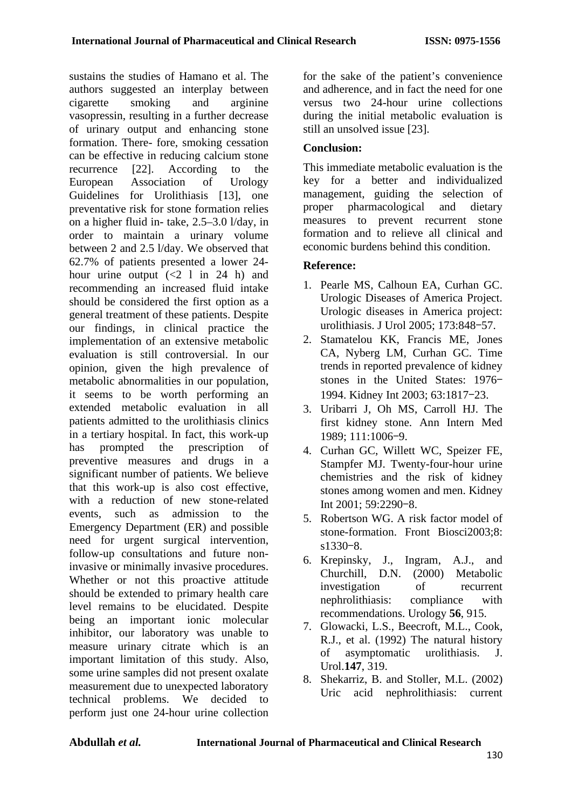sustains the studies of Hamano et al. The authors suggested an interplay between cigarette smoking and arginine vasopressin, resulting in a further decrease of urinary output and enhancing stone formation. There- fore, smoking cessation can be effective in reducing calcium stone recurrence [22]. According to the European Association of Urology Guidelines for Urolithiasis [13], one preventative risk for stone formation relies on a higher fluid in- take, 2.5–3.0 l/day, in order to maintain a urinary volume between 2 and 2.5 l/day. We observed that 62.7% of patients presented a lower 24 hour urine output  $( $2 \ 1 \text{ in } 24 \text{ h}$ )$  and recommending an increased fluid intake should be considered the first option as a general treatment of these patients. Despite our findings, in clinical practice the implementation of an extensive metabolic evaluation is still controversial. In our opinion, given the high prevalence of metabolic abnormalities in our population, it seems to be worth performing an extended metabolic evaluation in all patients admitted to the urolithiasis clinics in a tertiary hospital. In fact, this work-up has prompted the prescription of preventive measures and drugs in a significant number of patients. We believe that this work-up is also cost effective, with a reduction of new stone-related events, such as admission to the Emergency Department (ER) and possible need for urgent surgical intervention, follow-up consultations and future noninvasive or minimally invasive procedures. Whether or not this proactive attitude should be extended to primary health care level remains to be elucidated. Despite being an important ionic molecular inhibitor, our laboratory was unable to measure urinary citrate which is an important limitation of this study. Also, some urine samples did not present oxalate measurement due to unexpected laboratory technical problems. We decided to perform just one 24-hour urine collection for the sake of the patient's convenience and adherence, and in fact the need for one versus two 24-hour urine collections during the initial metabolic evaluation is still an unsolved issue [23].

# **Conclusion:**

This immediate metabolic evaluation is the key for a better and individualized management, guiding the selection of proper pharmacological and dietary measures to prevent recurrent stone formation and to relieve all clinical and economic burdens behind this condition.

## **Reference:**

- 1. Pearle MS, Calhoun EA, Curhan GC. Urologic Diseases of America Project. Urologic diseases in America project: urolithiasis. J Urol 2005; 173:848–57.
- 2. Stamatelou KK, Francis ME, Jones CA, Nyberg LM, Curhan GC. Time trends in reported prevalence of kidney stones in the United States: 1976– 1994. Kidney Int 2003; 63:1817–23.
- 3. Uribarri J, Oh MS, Carroll HJ. The first kidney stone. Ann Intern Med 1989; 111:1006–9.
- 4. Curhan GC, Willett WC, Speizer FE, Stampfer MJ. Twenty-four-hour urine chemistries and the risk of kidney stones among women and men. Kidney Int 2001; 59:2290–8.
- 5. Robertson WG. A risk factor model of stone-formation. Front Biosci2003;8: s1330–8.
- 6. Krepinsky, J., Ingram, A.J., and Churchill, D.N. (2000) Metabolic investigation of recurrent nephrolithiasis: compliance with recommendations. Urology **56**, 915.
- 7. Glowacki, L.S., Beecroft, M.L., Cook, R.J., et al. (1992) The natural history of asymptomatic urolithiasis. J. Urol.**147**, 319.
- 8. Shekarriz, B. and Stoller, M.L. (2002) Uric acid nephrolithiasis: current